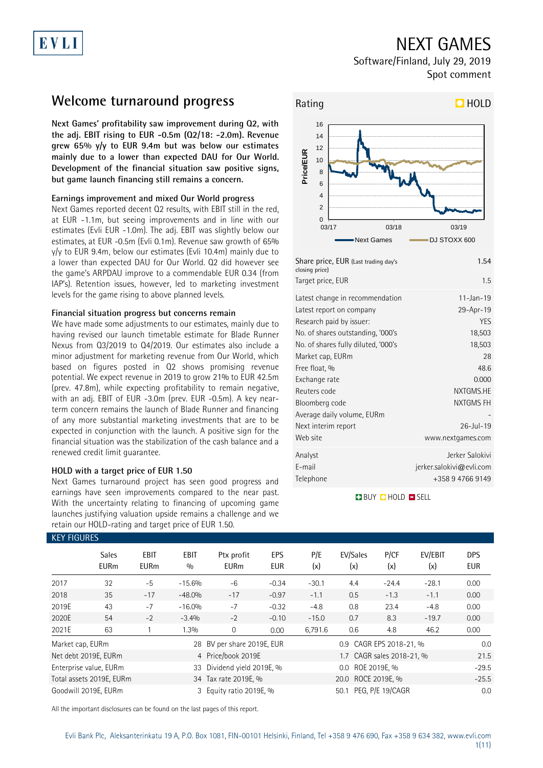# EVLI

# NEXT GAMES

Software/Finland, July 29, 2019 Spot comment

## **Welcome turnaround progress**

**Next Games' profitability saw improvement during Q2, with the adj. EBIT rising to EUR -0.5m (Q2/18: -2.0m). Revenue grew 65% y/y to EUR 9.4m but was below our estimates mainly due to a lower than expected DAU for Our World. Development of the financial situation saw positive signs, but game launch financing still remains a concern.** 

### **Earnings improvement and mixed Our World progress**

Next Games reported decent Q2 results, with EBIT still in the red, at EUR -1.1m, but seeing improvements and in line with our estimates (Evli EUR -1.0m). The adj. EBIT was slightly below our estimates, at EUR -0.5m (Evli 0.1m). Revenue saw growth of 65% y/y to EUR 9.4m, below our estimates (Evli 10.4m) mainly due to a lower than expected DAU for Our World. Q2 did however see the game's ARPDAU improve to a commendable EUR 0.34 (from IAP's). Retention issues, however, led to marketing investment levels for the game rising to above planned levels.

### **Financial situation progress but concerns remain**

We have made some adjustments to our estimates, mainly due to having revised our launch timetable estimate for Blade Runner Nexus from Q3/2019 to Q4/2019. Our estimates also include a minor adjustment for marketing revenue from Our World, which based on figures posted in Q2 shows promising revenue potential. We expect revenue in 2019 to grow 21% to EUR 42.5m (prev. 47.8m), while expecting profitability to remain negative, with an adj. EBIT of EUR -3.0m (prev. EUR -0.5m). A key nearterm concern remains the launch of Blade Runner and financing of any more substantial marketing investments that are to be expected in conjunction with the launch. A positive sign for the financial situation was the stabilization of the cash balance and a renewed credit limit guarantee.

### **HOLD with a target price of EUR 1.50**

Next Games turnaround project has seen good progress and earnings have seen improvements compared to the near past. With the uncertainty relating to financing of upcoming game launches justifying valuation upside remains a challenge and we retain our HOLD-rating and target price of EUR 1.50.



| Share price, EUR (Last trading day's<br>closing price) | 1.54                     |
|--------------------------------------------------------|--------------------------|
| Target price, EUR                                      | 1.5                      |
| Latest change in recommendation                        | $11 - Jan - 19$          |
| Latest report on company                               | 29-Apr-19                |
| Research paid by issuer:                               | <b>YES</b>               |
| No. of shares outstanding, '000's                      | 18,503                   |
| No. of shares fully diluted, '000's                    | 18,503                   |
| Market cap, EURm                                       | 28                       |
| Free float, %                                          | 48.6                     |
| Exchange rate                                          | 0.000                    |
| Reuters code                                           | NXTGMS.HE                |
| Bloomberg code                                         | NXTGMS FH                |
| Average daily volume, EURm                             |                          |
| Next interim report                                    | $26 - Jul - 19$          |
| Web site                                               | www.nextgames.com        |
| Analyst                                                | Jerker Salokivi          |
| E-mail                                                 | jerker.salokivi@evli.com |
| Telephone                                              | +358 9 4766 9149         |
|                                                        |                          |

### **BUY QHOLD SELL**

| <b>KEY FIGURES</b> |                             |                     |                    |                            |                          |                    |                           |             |                |                   |
|--------------------|-----------------------------|---------------------|--------------------|----------------------------|--------------------------|--------------------|---------------------------|-------------|----------------|-------------------|
|                    | <b>Sales</b><br><b>EURm</b> | EBIT<br><b>EURm</b> | <b>EBIT</b><br>0/0 | Ptx profit<br><b>EURm</b>  | <b>EPS</b><br><b>EUR</b> | P/E<br>(x)         | EV/Sales<br>(x)           | P/CF<br>(x) | EV/EBIT<br>(x) | <b>DPS</b><br>EUR |
| 2017               | 32                          | $-5$                | $-15.6%$           | $-6$                       | $-0.34$                  | $-30.1$            | 4.4                       | $-24.4$     | $-28.1$        | 0.00              |
| 2018               | 35                          | $-17$               | $-48.0%$           | $-17$                      | $-0.97$                  | $-1.1$             | 0.5                       | $-1.3$      | $-1.1$         | 0.00              |
| 2019E              | 43                          | $-7$                | $-16.0%$           | $-7$                       | $-0.32$                  | $-4.8$             | 0.8                       | 23.4        | $-4.8$         | 0.00              |
| 2020E              | 54                          | $-2$                | $-3.4%$            | $-2$                       | $-0.10$                  | $-15.0$            | 0.7                       | 8.3         | $-19.7$        | 0.00              |
| 2021E              | 63                          |                     | 1.3%               | 0                          | 0.00                     | 6,791.6            | 0.6                       | 4.8         | 46.2           | 0.00              |
| Market cap, EURm   |                             |                     |                    | 28 BV per share 2019E, EUR |                          |                    | 0.9 CAGR EPS 2018-21, %   | 0.0         |                |                   |
|                    | Net debt 2019E, EURm        |                     |                    | 4 Price/book 2019E         |                          |                    | 1.7 CAGR sales 2018-21, % |             |                | 21.5              |
|                    | Enterprise value, EURm      |                     |                    | 33 Dividend yield 2019E, % |                          |                    |                           | $-29.5$     |                |                   |
|                    | Total assets 2019E, EURm    |                     |                    | 34 Tax rate 2019E, %       |                          | 20.0 ROCE 2019E, % |                           |             |                | $-25.5$           |
|                    | Goodwill 2019E, EURm        |                     |                    | 3 Equity ratio 2019E, %    |                          |                    | PEG, P/E 19/CAGR          | 0.0         |                |                   |

All the important disclosures can be found on the last pages of this report.

### KEY FIGURES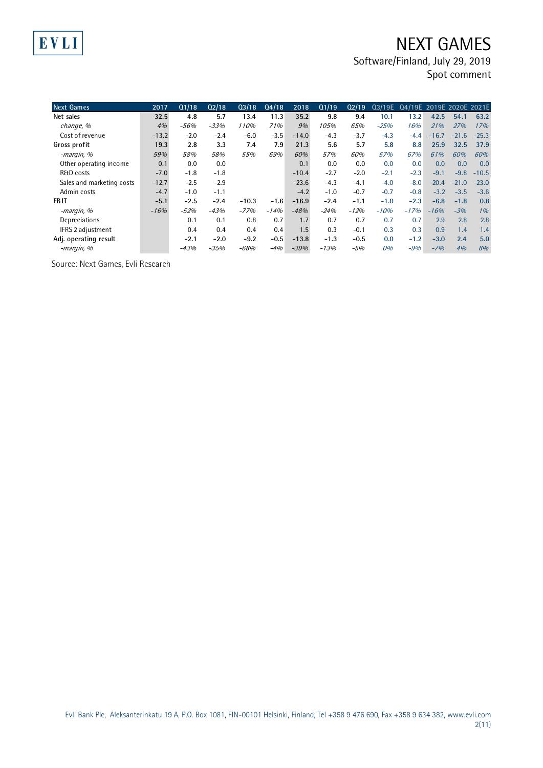# NEXT GAMES

Software/Finland, July 29, 2019

Spot comment

| <b>Next Games</b>         | 2017    | Q1/18  | Q2/18  | Q3/18   | Q4/18  | 2018    | Q1/19  | Q2/19  | Q3/19E | Q4/19E 2019E 2020E 2021E |         |         |         |
|---------------------------|---------|--------|--------|---------|--------|---------|--------|--------|--------|--------------------------|---------|---------|---------|
| Net sales                 | 32.5    | 4.8    | 5.7    | 13.4    | 11.3   | 35.2    | 9.8    | 9.4    | 10.1   | 13.2                     | 42.5    | 54.1    | 63.2    |
| change, %                 | 4%      | $-56%$ | $-33%$ | 110%    | 71%    | 9%      | 105%   | 65%    | $-25%$ | 16%                      | 21%     | 27%     | 17%     |
| Cost of revenue           | $-13.2$ | $-2.0$ | $-2.4$ | $-6.0$  | $-3.5$ | $-14.0$ | $-4.3$ | $-3.7$ | $-4.3$ | $-4.4$                   | $-16.7$ | $-21.6$ | $-25.3$ |
| Gross profit              | 19.3    | 2.8    | 3.3    | 7.4     | 7.9    | 21.3    | 5.6    | 5.7    | 5.8    | 8.8                      | 25.9    | 32.5    | 37.9    |
| -margin, %                | 59%     | 58%    | 58%    | 55%     | 69%    | 60%     | 57%    | 60%    | 57%    | 67%                      | 61%     | 60%     | 60%     |
| Other operating income    | 0.1     | 0.0    | 0.0    |         |        | 0.1     | 0.0    | 0.0    | 0.0    | 0.0                      | 0.0     | 0.0     | 0.0     |
| <b>R&amp;D</b> costs      | $-7.0$  | $-1.8$ | $-1.8$ |         |        | $-10.4$ | $-2.7$ | $-2.0$ | $-2.1$ | $-2.3$                   | $-9.1$  | $-9.8$  | $-10.5$ |
| Sales and marketing costs | $-12.7$ | $-2.5$ | $-2.9$ |         |        | $-23.6$ | $-4.3$ | $-4.1$ | $-4.0$ | $-8.0$                   | $-20.4$ | $-21.0$ | $-23.0$ |
| Admin costs               | $-4.7$  | $-1.0$ | $-1.1$ |         |        | $-4.2$  | $-1.0$ | $-0.7$ | $-0.7$ | $-0.8$                   | $-3.2$  | $-3.5$  | $-3.6$  |
| EB <sub>IT</sub>          | $-5.1$  | $-2.5$ | $-2.4$ | $-10.3$ | $-1.6$ | $-16.9$ | $-2.4$ | $-1.1$ | $-1.0$ | $-2.3$                   | $-6.8$  | $-1.8$  | 0.8     |
| -margin, %                | $-16%$  | $-52%$ | $-43%$ | $-77%$  | $-14%$ | $-48%$  | $-24%$ | $-12%$ | $-10%$ | $-17%$                   | $-16%$  | $-3%$   | 1%      |
| Depreciations             |         | 0.1    | 0.1    | 0.8     | 0.7    | 1.7     | 0.7    | 0.7    | 0.7    | 0.7                      | 2.9     | 2.8     | 2.8     |
| IFRS 2 adjustment         |         | 0.4    | 0.4    | 0.4     | 0.4    | 1.5     | 0.3    | $-0.1$ | 0.3    | 0.3                      | 0.9     | 1.4     | 1.4     |
| Adj. operating result     |         | $-2.1$ | $-2.0$ | $-9.2$  | $-0.5$ | $-13.8$ | $-1.3$ | $-0.5$ | 0.0    | $-1.2$                   | $-3.0$  | 2.4     | 5.0     |
| -margin, %                |         | $-43%$ | $-35%$ | $-68%$  | $-4%$  | $-39%$  | $-13%$ | $-5%$  | 0%     | $-9%$                    | $-7%$   | 4%      | 8%      |

Source: Next Games, Evli Research

EVLI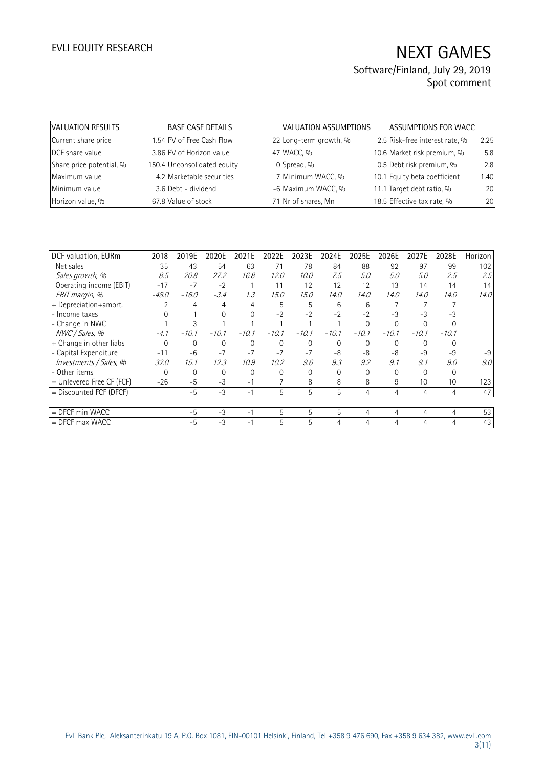## Software/Finland, July 29, 2019 Spot comment

| VALUATION RESULTS        | <b>BASE CASE DETAILS</b>    | VALUATION ASSUMPTIONS  | ASSUMPTIONS FOR WACC           |      |
|--------------------------|-----------------------------|------------------------|--------------------------------|------|
| Current share price      | 1.54 PV of Free Cash Flow   | 22 Long-term growth, % | 2.5 Risk-free interest rate, % | 2.25 |
| DCF share value          | 3.86 PV of Horizon value    | 47 WACC, %             | 10.6 Market risk premium, %    | 5.8  |
| Share price potential, % | 150.4 Unconsolidated equity | 0 Spread, %            | 0.5 Debt risk premium, %       | 2.8  |
| Maximum value            | 4.2 Marketable securities   | 7 Minimum WACC, %      | 10.1 Equity beta coefficient   | 1.40 |
| Minimum value            | 3.6 Debt - dividend         | -6 Maximum WACC, %     | 11.1 Target debt ratio, %      | 20   |
| Horizon value, %         | 67.8 Value of stock         | 71 Nr of shares, Mn    | 18.5 Effective tax rate, %     | 20   |

| DCF valuation, EURm       | 2018     | 2019E        | 2020E    | 2021E    | 2022E    | 2023E    | 2024E    | 2025E    | 2026E    | 2027E    | 2028E   | Horizon |
|---------------------------|----------|--------------|----------|----------|----------|----------|----------|----------|----------|----------|---------|---------|
| Net sales                 | 35       | 43           | 54       | 63       | 71       | 78       | 84       | 88       | 92       | 97       | 99      | 102     |
| Sales growth, %           | 8.5      | 20.8         | 27.2     | 16.8     | 12.0     | 10.0     | 7.5      | 5.0      | 5.0      | 5.0      | 2.5     | 2.5     |
| Operating income (EBIT)   | $-17$    | $-7$         | $-2$     |          | 11       | 12       | 12       | 12       | 13       | 14       | 14      | 14      |
| EBIT margin, %            | $-48.0$  | $-16.0$      | $-3.4$   | 1.3      | 15.0     | 15.0     | 14.0     | 14.0     | 14.0     | 14.0     | 14.0    | 14.0    |
| + Depreciation+amort.     |          | 4            | 4        | 4        | 5        | 5        | 6        | 6        |          |          |         |         |
| - Income taxes            |          |              | $\Omega$ | $\Omega$ | $-2$     | $-2$     | $-2$     | $-2$     | -3       | $-3$     | -3      |         |
| - Change in NWC           |          |              |          |          |          |          |          | $\Omega$ | $\Omega$ |          |         |         |
| NWC / Sales, %            | $-4.1$   | $-10.1$      | $-10.1$  | $-10.1$  | $-10.1$  | $-10.1$  | $-10.1$  | $-10.1$  | $-10.1$  | $-10.1$  | $-10.1$ |         |
| + Change in other liabs   | $\Omega$ | $\Omega$     | $\Omega$ | $\Omega$ | $\Omega$ | $\Omega$ | $\Omega$ | $\Omega$ | $\Omega$ | $\Omega$ |         |         |
| - Capital Expenditure     | $-11$    | $-6$         | $-7$     | $-7$     | $-7$     | $-7$     | -8       | -8       | -8       | -9       | $-9$    | $-9$    |
| Investments / Sales, %    | 32.0     | 15.1         | 12.3     | 10.9     | 10.2     | 9.6      | 9.3      | 9.2      | 9.1      | 9.1      | 9.0     | 9.0     |
| - Other items             | $\Omega$ | $\mathbf{0}$ | 0        | 0        | $\Omega$ | $\Omega$ | 0        | $\Omega$ | $\Omega$ | $\Omega$ | 0       |         |
| = Unlevered Free CF (FCF) | $-26$    | $-5$         | $-3$     | $-1$     | 7        | 8        | 8        | 8        | 9        | 10       | 10      | 123     |
| = Discounted FCF (DFCF)   |          | $-5$         | $-3$     | $-1$     | 5        | 5        | 5        | 4        | 4        | 4        | 4       | 47      |
|                           |          |              |          |          |          |          |          |          |          |          |         |         |
| $=$ DFCF min WACC         |          | $-5$         | $-3$     | $-1$     | 5        | 5        | 5        | 4        | 4        | 4        | 4       | 53      |
| $=$ DFCF max WACC         |          | $-5$         | $-3$     | $-1$     | 5        | 5        | 4        | 4        | 4        |          | 4       | 43      |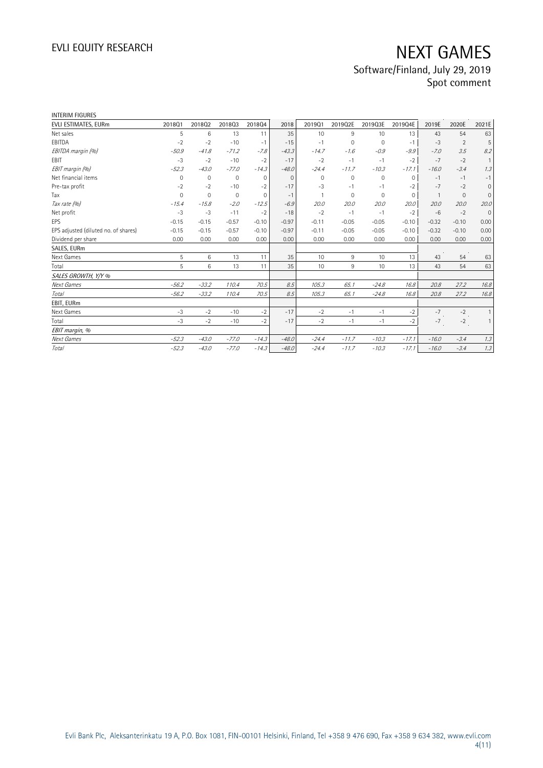# EVLI EQUITY RESEARCH NEXT GAMES Software/Finland, July 29, 2019

Spot comment

| <b>INTERIM FIGURES</b>               |             |                 |              |              |          |             |          |             |              |                |                |              |
|--------------------------------------|-------------|-----------------|--------------|--------------|----------|-------------|----------|-------------|--------------|----------------|----------------|--------------|
| EVLI ESTIMATES, EURm                 | 201801      | 201802          | 201803       | 201804       | 2018     | 201901      | 2019Q2E  | 2019Q3E     | 2019Q4E      | 2019E          | 2020E          | 2021E        |
| Net sales                            | 5           | $6\phantom{1}6$ | 13           | 11           | 35       | 10          | $9\,$    | 10          | 13           | 43             | 54             | 63           |
| EBITDA                               | $-2$        | $-2$            | $-10$        | $-1$         | $-15$    | $-1$        | 0        | 0           | $-1$         | $-3$           | $\overline{2}$ | 5            |
| EBITDA margin (%)                    | $-50.9$     | $-41.8$         | $-71.2$      | $-7.8$       | $-43.3$  | $-14.7$     | $-1.6$   | $-0.9$      | $-9.9$       | $-7.0$         | 3.5            | 8.2          |
| EBIT                                 | $-3$        | $-2$            | $-10$        | $-2$         | $-17$    | $-2$        | $-1$     | $-1$        | $-2$         | $-7$           | $-2$           | $\mathbf{1}$ |
| EBIT margin (%)                      | $-52.3$     | $-43.0$         | $-77.0$      | $-14.3$      | $-48.0$  | $-24.4$     | $-11.7$  | $-10.3$     | $-17.1$      | $-16.0$        | $-3.4$         | 1.3          |
| Net financial items                  | 0           | $\mathbf 0$     | $\mathbf{0}$ | $\mathbf{0}$ | $\Omega$ | $\mathbf 0$ | 0        | 0           | $\mathbf 0$  | $-1$           | $-1$           | $-1$         |
| Pre-tax profit                       | $-2$        | $-2$            | $-10$        | $-2$         | $-17$    | $-3$        | $-1$     | $-1$        | $-2$         | $-7$           | $-2$           | $\mathbf 0$  |
| Tax                                  | $\mathbf 0$ | $\mathbf 0$     | $\mathbf{0}$ | $\mathbf 0$  | $-1$     |             | $\Omega$ | $\mathbf 0$ | $\mathbf{0}$ | $\overline{1}$ | $\mathbf{0}$   | $\mathbf{0}$ |
| Tax rate (%)                         | $-15.4$     | $-15.8$         | $-2.0$       | $-12.5$      | $-6.9$   | 20.0        | 20.0     | 20.0        | 20.0         | 20.0           | 20.0           | 20.0         |
| Net profit                           | $-3$        | $-3$            | $-11$        | $-2$         | $-18$    | $-2$        | $-1$     | $-1$        | $-2$         | $-6$           | $-2$           | $\mathbf{0}$ |
| EPS                                  | $-0.15$     | $-0.15$         | $-0.57$      | $-0.10$      | $-0.97$  | $-0.11$     | $-0.05$  | $-0.05$     | $-0.10$      | $-0.32$        | $-0.10$        | 0.00         |
| EPS adjusted (diluted no. of shares) | $-0.15$     | $-0.15$         | $-0.57$      | $-0.10$      | $-0.97$  | $-0.11$     | $-0.05$  | $-0.05$     | $-0.10$      | $-0.32$        | $-0.10$        | 0.00         |
| Dividend per share                   | 0.00        | 0.00            | 0.00         | 0.00         | 0.00     | 0.00        | 0.00     | 0.00        | 0.00         | 0.00           | 0.00           | 0.00         |
| SALES, EURm                          |             |                 |              |              |          |             |          |             |              |                |                |              |
| Next Games                           | 5           | 6               | 13           | 11           | 35       | 10          | 9        | 10          | 13           | 43             | 54             | 63           |
| Total                                | 5           | 6               | 13           | 11           | 35       | 10          | 9        | 10          | 13           | 43             | 54             | 63           |
| SALES GROWTH, Y/Y %                  |             |                 |              |              |          |             |          |             |              |                |                |              |
| Next Games                           | $-56.2$     | $-33.2$         | 110.4        | 70.5         | 8.5      | 105.3       | 65.1     | $-24.8$     | 16.8         | 20.8           | 27.2           | 16.8         |
| <b>Total</b>                         | $-56.2$     | $-33.2$         | 110.4        | 70.5         | 8.5      | 105.3       | 65.1     | $-24.8$     | 16.8         | 20.8           | 27.2           | 16.8         |
| EBIT, EURm                           |             |                 |              |              |          |             |          |             |              |                |                |              |
| Next Games                           | $-3$        | $-2$            | $-10$        | $-2$         | $-17$    | $-2$        | $-1$     | $-1$        | $-2$         | $-7$           | $-2$           | $\mathbf{1}$ |
| Total                                | $-3$        | $-2$            | $-10$        | $-2$         | $-17$    | $-2$        | $-1$     | $-1$        | $-2$         | $-7$           | $-2$           | $\mathbf{1}$ |
| EBIT margin, %                       |             |                 |              |              |          |             |          |             |              |                |                |              |
| Next Games                           | $-52.3$     | $-43.0$         | $-77.0$      | $-14.3$      | $-48.0$  | $-24.4$     | $-11.7$  | $-10.3$     | $-17.1$      | $-16.0$        | $-3.4$         | 1.3          |
| Total                                | $-52.3$     | $-43.0$         | $-77.0$      | $-14.3$      | $-48.0$  | $-24.4$     | $-11.7$  | $-10.3$     | $-17.1$      | $-16.0$        | $-3.4$         | 1.3          |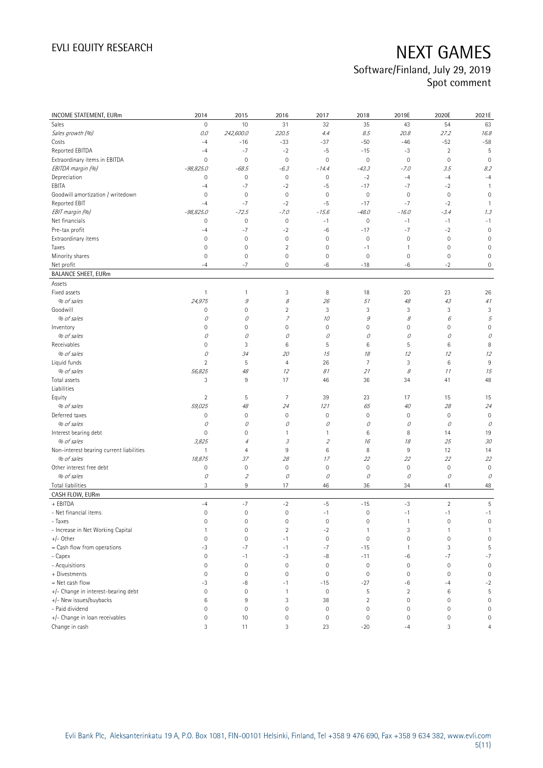## Software/Finland, July 29, 2019 Spot comment

| <b>INCOME STATEMENT, EURm</b>            | 2014                | 2015                        | 2016                | 2017                | 2018           | 2019E               | 2020E          | 2021E               |
|------------------------------------------|---------------------|-----------------------------|---------------------|---------------------|----------------|---------------------|----------------|---------------------|
| Sales                                    | 0                   | 10                          | 31                  | 32                  | 35             | 43                  | 54             | 63                  |
| Sales growth (%)                         | 0.0                 | 242,600.0                   | 220.5               | 4.4                 | 8.5            | 20.8                | 27.2           | 16.8                |
| Costs                                    | $-4$                | $-16$                       | $-33$               | $-37$               | $-50$          | $-46$               | $-52$          | $-58$               |
| Reported EBITDA                          | $-4$                | $-7$                        | $-2$                | $-5$                | $-15$          | -3                  | $\overline{2}$ | 5                   |
| Extraordinary items in EBITDA            | 0                   | $\mathbf 0$                 | $\mathbf 0$         | $\mathbf 0$         | $\mathbb O$    | $\mathbf 0$         | $\mathbf 0$    | $\mathbf 0$         |
| EBITDA margin (%)                        | $-98,825.0$         | $-68.5$                     | $-6.3$              | $-14.4$             | $-43.3$        | $-7.0$              | 3.5            | 8.2                 |
| Depreciation                             | 0                   | $\mathbf 0$                 | $\mathbf 0$         | $\mathsf{O}\xspace$ | $-2$           | $-4$                | $-4$           | $-4$                |
| EBITA                                    | $-4$                | $-7$                        | $-2$                | $-5$                | $-17$          | $-7$                | $-2$           | $\overline{1}$      |
| Goodwill amortization / writedown        | $\mathbf 0$         | $\mathbf 0$                 | $\mathbf 0$         | $\mathbf 0$         | $\mathbf 0$    | $\mathbb O$         | $\mathbf 0$    | $\mathbf 0$         |
| Reported EBIT                            | $-4$                | $-7$                        | $-2$                | $-5$                | $-17$          | $-7$                | $-2$           | $\overline{1}$      |
| EBIT margin (%)                          | $-98,825.0$         | $-72.5$                     | $-7.0$              | $-15.6$             | $-48.0$        | $-16.0$             | $-3.4$         | 1.3                 |
| Net financials                           | 0                   | $\mathbf 0$                 | $\mathbf 0$         | $-1$                | $\mathbf 0$    | $-1$                | $-1$           | $-1$                |
| Pre-tax profit                           | $-4$                | $-7$                        | $-2$                | $-6$                | $-17$          | $-7$                | $-2$           | $\mathbf 0$         |
| Extraordinary items                      | $\mathsf{O}\xspace$ | $\mathbf 0$                 | $\mathbf 0$         | $\mathbf 0$         | $\mathbf 0$    | $\mathbb O$         | $\mathbf 0$    | $\mathbf 0$         |
| Taxes                                    | 0                   | $\mathsf{O}\xspace$         | $\overline{c}$      | $\mathbf 0$         | $-1$           | $\mathbf{1}$        | 0              | $\overline{0}$      |
| Minority shares                          | $\mathsf{O}\xspace$ | $\mathbf 0$                 | $\mathsf{O}\xspace$ | $\mathbf 0$         | $\mathbf 0$    | $\mathbf 0$         | $\mathbf 0$    | $\mathbf 0$         |
| Net profit                               | $-4$                | $-7$                        | 0                   | -6                  | $-18$          | -6                  | $-2$           | 0                   |
| <b>BALANCE SHEET, EURm</b>               |                     |                             |                     |                     |                |                     |                |                     |
| Assets                                   |                     |                             |                     |                     |                |                     |                |                     |
| Fixed assets                             | $\mathbf{1}$        | $\mathbf{1}$                | 3                   | 8                   | 18             | 20                  | 23             | 26                  |
| % of sales                               | 24,975              | 9                           | 8                   | 26                  | 51             | 48                  | 43             | 41                  |
| Goodwill                                 | 0                   | $\mathbf 0$                 | $\overline{c}$      | 3                   | 3              | 3                   | 3              | 3                   |
| % of sales                               | 0                   | 0                           | $\overline{z}$      | 10                  | 9              | 8                   | 6              | 5                   |
| Inventory                                | $\mathsf{O}\xspace$ | $\mathbf 0$                 | 0                   | 0                   | $\mathbf 0$    | $\mathsf{O}\xspace$ | 0              | $\overline{0}$      |
| % of sales                               | 0                   | 0                           | 0                   | 0                   | 0              | 0                   | 0              | 0                   |
| Receivables                              | 0                   | 3                           | 6                   | 5                   | 6              | 5                   | 6              | 8                   |
| % of sales                               | 0                   | 34                          | 20                  | 15                  | 18             | 12                  | 12             | 12                  |
| Liquid funds                             | $\overline{c}$      | $\sqrt{5}$                  | 4                   | 26                  | $\overline{7}$ | $\sqrt{3}$          | 6              | 9                   |
| % of sales                               | 56,825              | 48                          | 12                  | 81                  | 21             | 8                   | 11             | 15                  |
| Total assets                             | 3                   | $9\,$                       | 17                  | 46                  | 36             | 34                  | 41             | 48                  |
| Liabilities                              |                     |                             |                     |                     |                |                     |                |                     |
| Equity                                   | $\overline{2}$      | 5                           | 7                   | 39                  | 23             | 17                  | 15             | 15                  |
| % of sales                               | 59,025              | 48                          | 24                  | 121                 | 65             | 40                  | 28             | 24                  |
| Deferred taxes                           | $\mathsf 0$         | $\mathbf 0$                 | $\mathbf 0$         | 0                   | $\mathbf 0$    | $\mathbf 0$         | $\mathbf 0$    | $\mathbf 0$         |
| % of sales                               | 0                   | 0                           | 0                   | 0                   | 0              | 0                   | 0              | 0                   |
| Interest bearing debt                    | 0                   | $\mathbf 0$                 | 1                   | 1                   | 6              | 8                   | 14             | 19                  |
| % of sales                               | 3,825               | 4                           | 3                   | $\mathfrak z$       | 16             | 18                  | 25             | 30                  |
| Non-interest bearing current liabilities | $\mathbf{1}$        | $\overline{4}$              | 9                   | 6                   | 8              | 9                   | 12             | 14                  |
| % of sales                               | 18,875              | 37                          | 28                  | 17                  | 22             | 22                  | 22             | 22                  |
| Other interest free debt                 | $\mathsf 0$         | $\mathbf 0$                 | $\mathbf 0$         | $\mathbf 0$         | $\mathbf 0$    | $\mathbb O$         | $\mathbf 0$    | $\mathbf 0$         |
| % of sales                               | 0                   | $\mathcal{L}_{\mathcal{L}}$ | 0                   | 0                   | 0              | 0                   | 0              | 0                   |
| Total liabilities                        | 3                   | $9\,$                       | 17                  | 46                  | 36             | 34                  | 41             | 48                  |
| CASH FLOW, EURm                          |                     |                             |                     |                     |                |                     |                |                     |
| + EBITDA                                 | $-4$                | $-7$                        | $-2$                | $-5$                | $-15$          | -3                  | $\overline{2}$ | 5                   |
| - Net financial items                    | 0                   | $\mathbf 0$                 | $\mathbf 0$         | $-1$                | $\mathbf 0$    | $-1$                | $-1$           | $-1$                |
| - Taxes                                  | 0                   | 0                           | 0                   | 0                   | 0              | 1                   | 0              | 0                   |
| - Increase in Net Working Capital        | $\mathbf{1}$        | $\mathbf 0$                 | $\overline{c}$      | $-2$                | $\mathbf{1}$   | $\sqrt{3}$          | 1              | $\mathbf{1}$        |
| +/- Other                                | $\mathsf{O}\xspace$ | $\mathbf 0$                 | $-1$                | $\mathbf 0$         | $\mathbf 0$    | $\mathbf 0$         | $\mathbf 0$    | $\mathsf{O}\xspace$ |
| = Cash flow from operations              | -3                  | $-7$                        | $-1$                | $-7$                | $-15$          | $\overline{1}$      | 3              | 5                   |
| - Capex                                  | 0                   | $-1$                        | $-3$                | $-8$                | $-11$          | -6                  | $-7$           | $-7$                |
| - Acquisitions                           | 0                   | $\mathbf 0$                 | $\mathbf 0$         | $\mathbf 0$         | $\mathbf 0$    | $\mathsf{O}\xspace$ | $\mathbf 0$    | $\mathbb O$         |
| + Divestments                            | 0                   | $\mathbf 0$                 | $\mathsf{O}\xspace$ | $\mathsf{O}\xspace$ | $\mathbf 0$    | $\mathbf 0$         | $\mathbf 0$    | $\mathbb O$         |
| = Net cash flow                          | $-3$                | -8                          | $-1$                | $-15$               | $-27$          | -6                  | $-4$           | $-2$                |
| +/- Change in interest-bearing debt      | 0                   | $\mathbb O$                 | $\mathbf{1}$        | $\mathsf{O}\xspace$ | 5              | $\overline{2}$      | 6              | 5                   |
| +/- New issues/buybacks                  | $\,6$               | 9                           | 3                   | 38                  | $\overline{2}$ | $\mathbb O$         | $\mathbf 0$    | $\mathsf{O}\xspace$ |
| - Paid dividend                          | 0                   | $\mathbf 0$                 | 0                   | $\mathbf 0$         | $\mathbf 0$    | $\mathbb O$         | $\mathbf 0$    | $\mathbf 0$         |
| +/- Change in loan receivables           | 0                   | 10                          | $\mathsf{O}\xspace$ | $\mathbb O$         | $\mathbf 0$    | $\mathsf{O}\xspace$ | $\mathbf 0$    | $\mathsf 0$         |
| Change in cash                           | 3                   | 11                          | 3                   | 23                  | $-20$          | $-4$                | 3              | $\overline{4}$      |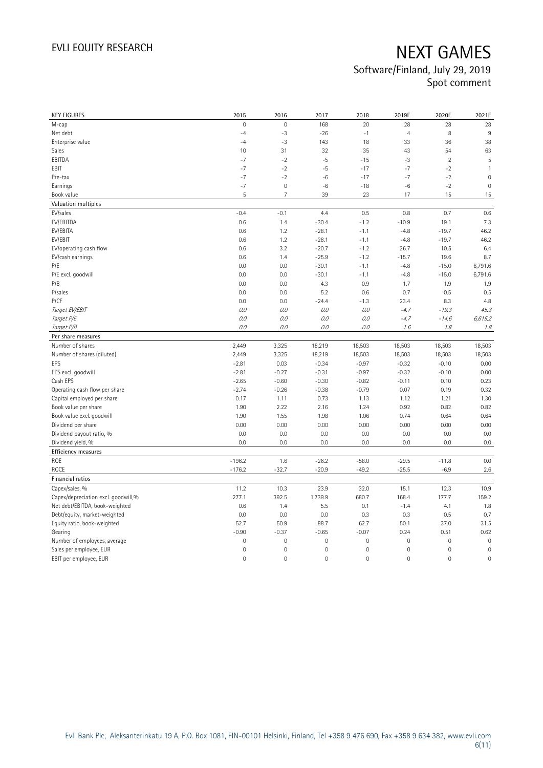## Software/Finland, July 29, 2019 Spot comment

| <b>KEY FIGURES</b>                  | 2015                | 2016                | 2017           | 2018                | 2019E               | 2020E               | 2021E        |
|-------------------------------------|---------------------|---------------------|----------------|---------------------|---------------------|---------------------|--------------|
| M-cap                               | $\mathbf 0$         | $\mathbf 0$         | 168            | 20                  | 28                  | 28                  | 28           |
| Net debt                            | $-4$                | $-3$                | $-26$          | $-1$                | $\overline{4}$      | 8                   | 9            |
| Enterprise value                    | $-4$                | $-3$                | 143            | 18                  | 33                  | 36                  | 38           |
| Sales                               | 10                  | 31                  | 32             | 35                  | 43                  | 54                  | 63           |
| EBITDA                              | $-7$                | $-2$                | $-5$           | $-15$               | $-3$                | $\overline{2}$      | 5            |
| EBIT                                | $-7$                | $-2$                | $-5$           | $-17$               | $-7$                | $-2$                | $\mathbf{1}$ |
| Pre-tax                             | $-7$                | $-2$                | $-6$           | $-17$               | $-7$                | $-2$                | $\mathbf 0$  |
| Earnings                            | $-7$                | $\mathbf 0$         | $-6$           | $-18$               | -6                  | $-2$                | $\mathbf 0$  |
| Book value                          | 5                   | $\overline{7}$      | 39             | 23                  | 17                  | 15                  | 15           |
| Valuation multiples                 |                     |                     |                |                     |                     |                     |              |
| EV/sales                            | $-0.4$              | $-0.1$              | 4.4            | 0.5                 | 0.8                 | 0.7                 | 0.6          |
| EV/EBITDA                           | 0.6                 | 1.4                 | $-30.4$        | $-1.2$              | $-10.9$             | 19.1                | 7.3          |
| EV/EBITA                            | 0.6                 | 1.2                 | $-28.1$        | $-1.1$              | $-4.8$              | $-19.7$             | 46.2         |
| EV/EBIT                             | 0.6                 | 1.2                 | $-28.1$        | $-1.1$              | $-4.8$              | $-19.7$             | 46.2         |
| EV/operating cash flow              | 0.6                 | 3.2                 | $-20.7$        | $-1.2$              | 26.7                | 10.5                | 6.4          |
| EV/cash earnings                    | 0.6                 | 1.4                 | $-25.9$        | $-1.2$              | $-15.7$             | 19.6                | 8.7          |
| P/E                                 | 0.0                 | 0.0                 | $-30.1$        | $-1.1$              | $-4.8$              | $-15.0$             | 6,791.6      |
| P/E excl. goodwill                  | 0.0                 | 0.0                 | $-30.1$        | $-1.1$              | $-4.8$              | $-15.0$             | 6,791.6      |
| P/B                                 | 0.0                 | 0.0                 | 4.3            | 0.9                 | 1.7                 | 1.9                 | 1.9          |
| P/sales                             | 0.0                 | 0.0                 | 5.2            | 0.6                 | 0.7                 | 0.5                 | 0.5          |
| P/CF                                | 0.0                 | 0.0                 | $-24.4$        | $-1.3$              | 23.4                | 8.3                 | 4.8          |
| Target EV/EBIT                      | 0.0                 | 0.0                 | 0.0            | 0.0                 | $-4.7$              | $-19.3$             | 45.3         |
| Target P/E                          | 0.0                 | 0.0                 | 0.0            | O.O                 | $-4.7$              | $-14.6$             | 6,615.2      |
| Target P/B                          | $0.0$               | 0.0                 | 0.0            | 0.0                 | 1.6                 | 1.8                 | 1.8          |
| Per share measures                  |                     |                     |                |                     |                     |                     |              |
| Number of shares                    | 2,449               | 3,325               | 18,219         | 18,503              | 18,503              | 18,503              | 18,503       |
| Number of shares (diluted)          | 2,449               | 3,325               | 18,219         | 18,503              | 18,503              | 18,503              | 18,503       |
| EPS                                 | $-2.81$             | 0.03                | $-0.34$        | $-0.97$             | $-0.32$             | $-0.10$             | 0.00         |
| EPS excl. goodwill                  | $-2.81$             | $-0.27$             | $-0.31$        | $-0.97$             | $-0.32$             | $-0.10$             | 0.00         |
| Cash EPS                            | $-2.65$             | $-0.60$             | $-0.30$        | $-0.82$             | $-0.11$             | 0.10                | 0.23         |
| Operating cash flow per share       | $-2.74$             | $-0.26$             | $-0.38$        | $-0.79$             | 0.07                | 0.19                | 0.32         |
| Capital employed per share          | 0.17                | 1.11                | 0.73           | 1.13                | 1.12                | 1.21                | 1.30         |
| Book value per share                | 1.90                | 2.22                | 2.16           | 1.24                | 0.92                | 0.82                | 0.82         |
| Book value excl. goodwill           | 1.90                | 1.55                | 1.98           | 1.06                | 0.74                | 0.64                | 0.64         |
| Dividend per share                  | 0.00                | 0.00                | 0.00           | 0.00                | 0.00                | 0.00                | 0.00         |
| Dividend payout ratio, %            | 0.0                 | 0.0                 | 0.0            | 0.0                 | 0.0                 | 0.0                 | 0.0          |
| Dividend yield, %                   | 0.0                 | 0.0                 | 0.0            | 0.0                 | 0.0                 | 0.0                 | 0.0          |
| Efficiency measures                 |                     |                     |                |                     |                     |                     |              |
| ROE                                 | $-196.2$            | 1.6                 | $-26.2$        | $-58.0$             | $-29.5$             | $-11.8$             | 0.0          |
| ROCE                                | $-176.2$            | $-32.7$             | $-20.9$        | $-49.2$             | $-25.5$             | $-6.9$              | $2.6\,$      |
| Financial ratios                    |                     |                     |                |                     |                     |                     |              |
| Capex/sales, %                      | 11.2                | 10.3                | 23.9           | 32.0                | 15.1                | 12.3                | 10.9         |
| Capex/depreciation excl. goodwill,% | 277.1               | 392.5               | 1,739.9        | 680.7               | 168.4               | 177.7               | 159.2        |
| Net debt/EBITDA, book-weighted      | 0.6                 | 1.4                 | 5.5            | 0.1                 | $-1.4$              | 4.1                 | 1.8          |
| Debt/equity, market-weighted        | 0.0                 | 0.0                 | 0.0            | 0.3                 | 0.3                 | 0.5                 | 0.7          |
| Equity ratio, book-weighted         | 52.7                | 50.9                | 88.7           | 62.7                | 50.1                | 37.0                | 31.5         |
| Gearing                             | $-0.90$             | $-0.37$             | $-0.65$        | $-0.07$             | 0.24                | 0.51                | 0.62         |
| Number of employees, average        | $\mathsf{O}\xspace$ | $\mathsf{O}\xspace$ | $\mathbf 0$    | $\mathsf{O}\xspace$ | $\mathsf{O}\xspace$ | $\mathbf 0$         | $\mathbf 0$  |
| Sales per employee, EUR             | $\mathbf 0$         | $\mathbf 0$         | $\mathbf 0$    | $\mathbf 0$         | $\mathsf 0$         | 0                   | $\mathbf 0$  |
| EBIT per employee, EUR              | 0                   | $\mathbf 0$         | $\overline{0}$ | $\mathbf 0$         | $\overline{0}$      | $\mathsf{O}\xspace$ | $\mathbf 0$  |
|                                     |                     |                     |                |                     |                     |                     |              |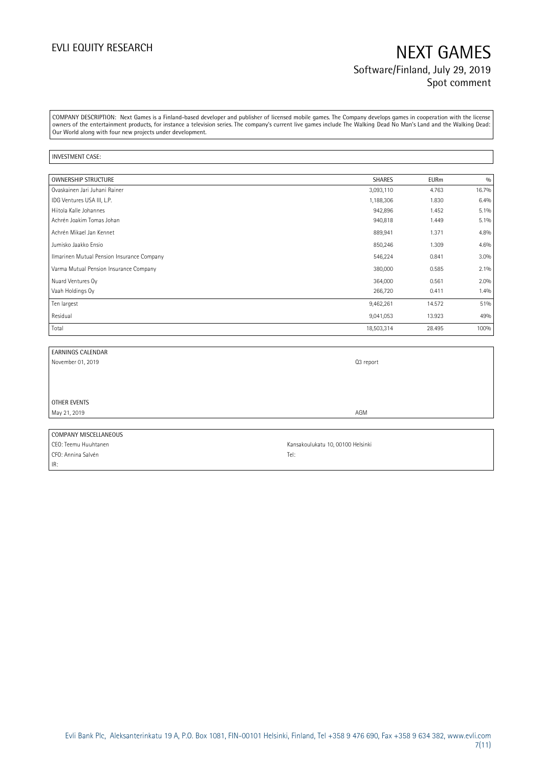# EVLI EQUITY RESEARCH NEXT GAMES Software/Finland, July 29, 2019 Spot comment

COMPANY DESCRIPTION: Next Games is a Finland-based developer and publisher of licensed mobile games. The Company develops games in cooperation with the license owners of the entertainment products, for instance a television series. The company's current live games include The Walking Dead No Man's Land and the Walking Dead: Our World along with four new projects under development.

#### INVESTMENT CASE:

| <b>OWNERSHIP STRUCTURE</b>                 | <b>SHARES</b> | <b>EURm</b> | 0/0     |
|--------------------------------------------|---------------|-------------|---------|
| Ovaskainen Jari Juhani Rainer              | 3,093,110     | 4.763       | 16.7%   |
| IDG Ventures USA III, L.P.                 | 1,188,306     | 1.830       | 6.4%    |
| Hiitola Kalle Johannes                     | 942,896       | 1.452       | $5.1\%$ |
| Achrén Joakim Tomas Johan                  | 940,818       | 1.449       | $5.1\%$ |
| Achrén Mikael Jan Kennet                   | 889,941       | 1.371       | 4.8%    |
| Jumisko Jaakko Ensio                       | 850,246       | 1.309       | 4.6%    |
| Ilmarinen Mutual Pension Insurance Company | 546,224       | 0.841       | 3.0%    |
| Varma Mutual Pension Insurance Company     | 380,000       | 0.585       | $2.1\%$ |
| Nuard Ventures Oy                          | 364,000       | 0.561       | 2.0%    |
| Vaah Holdings Oy                           | 266,720       | 0.411       | 1.4%    |
| Ten largest                                | 9,462,261     | 14.572      | 51%     |
| Residual                                   | 9,041,053     | 13.923      | 49%     |
| Total                                      | 18,503,314    | 28.495      | 100%    |

| <b>EARNINGS CALENDAR</b> |                                   |
|--------------------------|-----------------------------------|
| November 01, 2019        | Q3 report                         |
|                          |                                   |
|                          |                                   |
|                          |                                   |
| OTHER EVENTS             |                                   |
| May 21, 2019             | AGM                               |
|                          |                                   |
| COMPANY MISCELLANEOUS    |                                   |
| CEO: Teemu Huuhtanen     | Kansakoulukatu 10, 00100 Helsinki |
| CFO: Annina Salvén       | Tel:                              |

IR:

Evli Bank Plc, Aleksanterinkatu 19 A, P.O. Box 1081, FIN-00101 Helsinki, Finland, Tel +358 9 476 690, Fax +358 9 634 382, [www.evli.com](http://www.evli.com/) 7(11)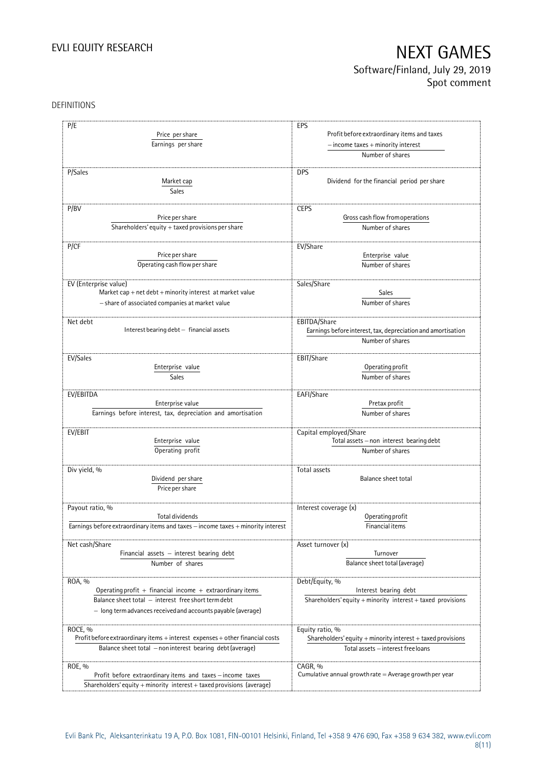# EVLI EQUITY RESEARCH NEXT GAMES Software/Finland, July 29, 2019

Spot comment

### DEFINITIONS

| P/E                                                                              | EPS                                                          |
|----------------------------------------------------------------------------------|--------------------------------------------------------------|
|                                                                                  | Profit before extraordinary items and taxes                  |
| Price per share                                                                  |                                                              |
| Earnings per share                                                               | $-$ income taxes $+$ minority interest                       |
|                                                                                  | Number of shares                                             |
|                                                                                  |                                                              |
| P/Sales                                                                          | <b>DPS</b>                                                   |
| Market cap                                                                       | Dividend for the financial period per share                  |
| Sales                                                                            |                                                              |
|                                                                                  |                                                              |
| P/BV                                                                             | <b>CEPS</b>                                                  |
| Price per share                                                                  | Gross cash flow from operations                              |
| Shareholders' equity + taxed provisions per share                                | Number of shares                                             |
|                                                                                  |                                                              |
| P/CF                                                                             | EV/Share                                                     |
|                                                                                  |                                                              |
| Price per share                                                                  | Enterprise value                                             |
| Operating cash flow per share                                                    | Number of shares                                             |
|                                                                                  |                                                              |
| EV (Enterprise value)                                                            | Sales/Share                                                  |
| Market cap + net $debt$ + minority interest at market value                      | <b>Sales</b>                                                 |
| - share of associated companies at market value                                  | Number of shares                                             |
|                                                                                  |                                                              |
|                                                                                  | EBITDA/Share                                                 |
| Net debt<br>Interest bearing debt - financial assets                             |                                                              |
|                                                                                  | Earnings before interest, tax, depreciation and amortisation |
|                                                                                  | Number of shares                                             |
|                                                                                  |                                                              |
| EV/Sales                                                                         | EBIT/Share                                                   |
| Enterprise value                                                                 | Operating profit                                             |
| Sales                                                                            | Number of shares                                             |
|                                                                                  |                                                              |
| EV/EBITDA                                                                        | EAFI/Share                                                   |
| Enterprise value                                                                 | Pretax profit                                                |
| Earnings before interest, tax, depreciation and amortisation                     | Number of shares                                             |
|                                                                                  |                                                              |
| EV/EBIT                                                                          | Capital employed/Share                                       |
| Enterprise value                                                                 | Total assets - non interest bearing debt                     |
|                                                                                  |                                                              |
| Operating profit                                                                 | Number of shares                                             |
|                                                                                  |                                                              |
| Div yield, %                                                                     | Total assets                                                 |
| Dividend per share                                                               | Balance sheet total                                          |
| Price per share                                                                  |                                                              |
|                                                                                  |                                                              |
| Payout ratio, %                                                                  | Interest coverage (x)                                        |
| Total dividends                                                                  | Operating profit                                             |
| Earnings before extraordinary items and taxes - income taxes + minority interest | Financial items                                              |
|                                                                                  |                                                              |
| Net cash/Share                                                                   | Asset turnover (x)                                           |
| Financial assets $-$ interest bearing debt                                       | Turnover                                                     |
|                                                                                  |                                                              |
| Number of shares                                                                 | Balance sheet total (average)                                |
|                                                                                  |                                                              |
| ROA, %                                                                           | Debt/Equity, %                                               |
| Operating profit + financial income + extraordinary items                        | Interest bearing debt                                        |
| Balance sheet total - interest free short term debt                              | Shareholders' equity + minority interest + taxed provisions  |
| - long termadvances received and accounts payable (average)                      |                                                              |
|                                                                                  |                                                              |
| ROCE, %                                                                          | Equity ratio, %                                              |
| Profit before extraordinary items + interest expenses + other financial costs    | Shareholders' equity + minority interest + taxed provisions  |
|                                                                                  |                                                              |
| Balance sheet total - non interest bearing debt (average)                        | Total assets - interest free loans                           |
|                                                                                  |                                                              |
| ROE, %                                                                           | CAGR, %                                                      |
| Profit before extraordinary items and taxes - income taxes                       | Cumulative annual growth rate $=$ Average growth per year    |
| Shareholders' equity + minority interest + taxed provisions (average)            |                                                              |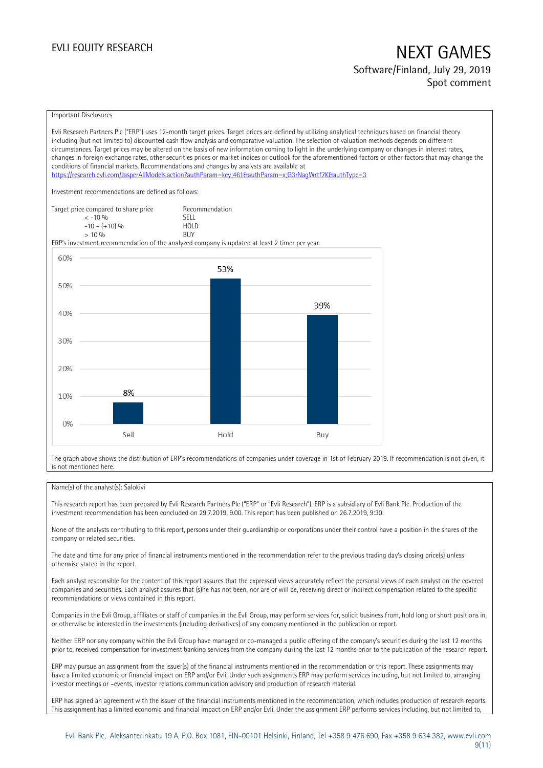## EVLI EQUITY RESEARCH NEXT GAMES Software/Finland, July 29, 2019 Spot comment

#### Important Disclosures

Evli Research Partners Plc ("ERP") uses 12-month target prices. Target prices are defined by utilizing analytical techniques based on financial theory including (but not limited to) discounted cash flow analysis and comparative valuation. The selection of valuation methods depends on different circumstances. Target prices may be altered on the basis of new information coming to light in the underlying company or changes in interest rates, changes in foreign exchange rates, other securities prices or market indices or outlook for the aforementioned factors or other factors that may change the conditions of financial markets. Recommendations and changes by analysts are available at <https://research.evli.com/JasperAllModels.action?authParam=key;461&authParam=x;G3rNagWrtf7K&authType=3> Investment recommendations are defined as follows: Target price compared to share price Recommendation<br>  $\leq 10\%$  $\langle 5, 10, 10 \rangle$  SELL<br> $\langle -10, 10, 10 \rangle$  SELL  $-10 - (+10) \%$  HOL<br>  $> 10 \%$  RIJY  $> 10\%$ ERP's investment recommendation of the analyzed company is updated at least 2 timer per year. 60% 53% 50% 39% 40% 30% 20% 8% 10%  $0%$ Sell Hold Buy

The graph above shows the distribution of ERP's recommendations of companies under coverage in 1st of February 2019. If recommendation is not given, it is not mentioned here.

### Name(s) of the analyst(s): Salokivi

This research report has been prepared by Evli Research Partners Plc ("ERP" or "Evli Research"). ERP is a subsidiary of Evli Bank Plc. Production of the investment recommendation has been concluded on 29.7.2019, 9.00. This report has been published on 26.7.2019, 9:30.

None of the analysts contributing to this report, persons under their guardianship or corporations under their control have a position in the shares of the company or related securities.

The date and time for any price of financial instruments mentioned in the recommendation refer to the previous trading day's closing price(s) unless otherwise stated in the report.

Each analyst responsible for the content of this report assures that the expressed views accurately reflect the personal views of each analyst on the covered companies and securities. Each analyst assures that (s)he has not been, nor are or will be, receiving direct or indirect compensation related to the specific recommendations or views contained in this report.

Companies in the Evli Group, affiliates or staff of companies in the Evli Group, may perform services for, solicit business from, hold long or short positions in, or otherwise be interested in the investments (including derivatives) of any company mentioned in the publication or report.

Neither ERP nor any company within the Evli Group have managed or co-managed a public offering of the company's securities during the last 12 months prior to, received compensation for investment banking services from the company during the last 12 months prior to the publication of the research report.

ERP may pursue an assignment from the issuer(s) of the financial instruments mentioned in the recommendation or this report. These assignments may have a limited economic or financial impact on ERP and/or Evli. Under such assignments ERP may perform services including, but not limited to, arranging investor meetings or –events, investor relations communication advisory and production of research material.

ERP has signed an agreement with the issuer of the financial instruments mentioned in the recommendation, which includes production of research reports. This assignment has a limited economic and financial impact on ERP and/or Evli. Under the assignment ERP performs services including, but not limited to,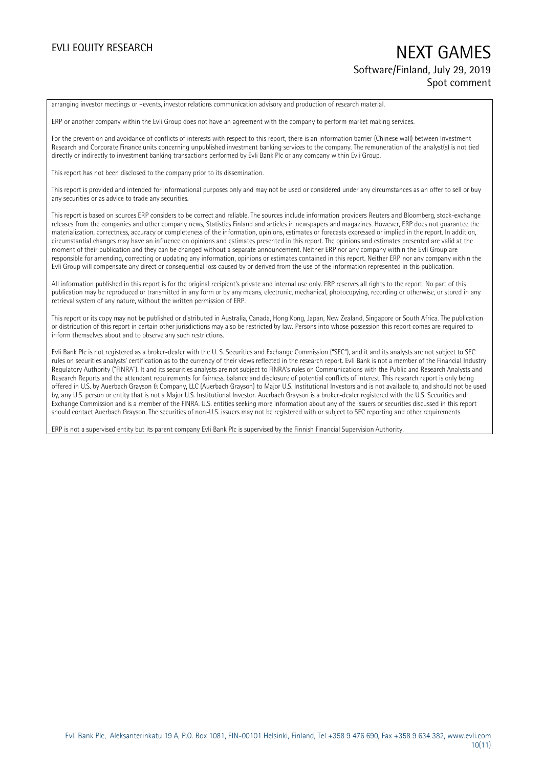## EVLI EQUITY RESEARCH NEXT GAMES Software/Finland, July 29, 2019 Spot comment

arranging investor meetings or –events, investor relations communication advisory and production of research material.

ERP or another company within the Evli Group does not have an agreement with the company to perform market making services.

For the prevention and avoidance of conflicts of interests with respect to this report, there is an information barrier (Chinese wall) between Investment Research and Corporate Finance units concerning unpublished investment banking services to the company. The remuneration of the analyst(s) is not tied directly or indirectly to investment banking transactions performed by Evli Bank Plc or any company within Evli Group.

This report has not been disclosed to the company prior to its dissemination.

This report is provided and intended for informational purposes only and may not be used or considered under any circumstances as an offer to sell or buy any securities or as advice to trade any securities.

This report is based on sources ERP considers to be correct and reliable. The sources include information providers Reuters and Bloomberg, stock-exchange releases from the companies and other company news, Statistics Finland and articles in newspapers and magazines. However, ERP does not guarantee the materialization, correctness, accuracy or completeness of the information, opinions, estimates or forecasts expressed or implied in the report. In addition, circumstantial changes may have an influence on opinions and estimates presented in this report. The opinions and estimates presented are valid at the moment of their publication and they can be changed without a separate announcement. Neither ERP nor any company within the Evli Group are responsible for amending, correcting or updating any information, opinions or estimates contained in this report. Neither ERP nor any company within the Evli Group will compensate any direct or consequential loss caused by or derived from the use of the information represented in this publication.

All information published in this report is for the original recipient's private and internal use only. ERP reserves all rights to the report. No part of this publication may be reproduced or transmitted in any form or by any means, electronic, mechanical, photocopying, recording or otherwise, or stored in any retrieval system of any nature, without the written permission of ERP.

This report or its copy may not be published or distributed in Australia, Canada, Hong Kong, Japan, New Zealand, Singapore or South Africa. The publication or distribution of this report in certain other jurisdictions may also be restricted by law. Persons into whose possession this report comes are required to inform themselves about and to observe any such restrictions.

Evli Bank Plc is not registered as a broker-dealer with the U. S. Securities and Exchange Commission ("SEC"), and it and its analysts are not subject to SEC rules on securities analysts' certification as to the currency of their views reflected in the research report. Evli Bank is not a member of the Financial Industry Regulatory Authority ("FINRA"). It and its securities analysts are not subject to FINRA's rules on Communications with the Public and Research Analysts and Research Reports and the attendant requirements for fairness, balance and disclosure of potential conflicts of interest. This research report is only being offered in U.S. by Auerbach Grayson & Company, LLC (Auerbach Grayson) to Major U.S. Institutional Investors and is not available to, and should not be used by, any U.S. person or entity that is not a Major U.S. Institutional Investor. Auerbach Grayson is a broker-dealer registered with the U.S. Securities and Exchange Commission and is a member of the FINRA. U.S. entities seeking more information about any of the issuers or securities discussed in this report should contact Auerbach Grayson. The securities of non-U.S. issuers may not be registered with or subject to SEC reporting and other requirements.

ERP is not a supervised entity but its parent company Evli Bank Plc is supervised by the Finnish Financial Supervision Authority.